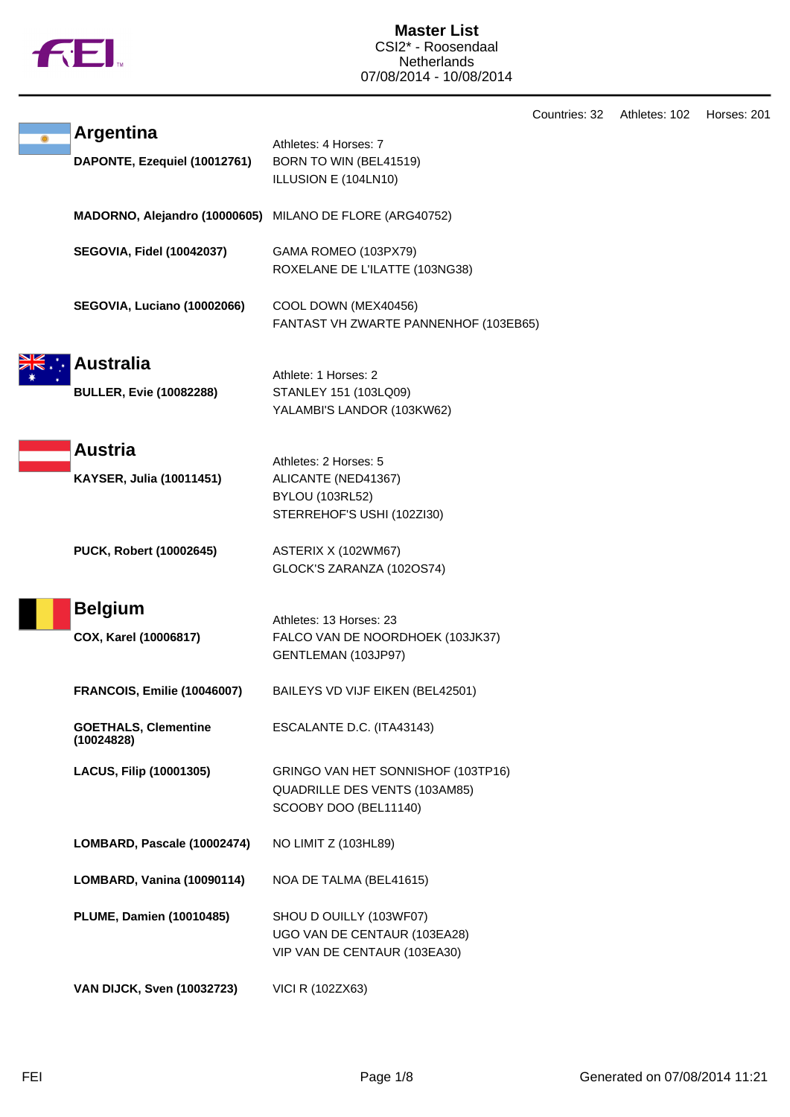

Countries: 32 Athletes: 102 Horses: 201

| <b>Argentina</b><br>DAPONTE, Ezequiel (10012761)   | Athletes: 4 Horses: 7<br>BORN TO WIN (BEL41519)<br>ILLUSION E (104LN10)                              |
|----------------------------------------------------|------------------------------------------------------------------------------------------------------|
| MADORNO, Alejandro (10000605)                      | MILANO DE FLORE (ARG40752)                                                                           |
| <b>SEGOVIA, Fidel (10042037)</b>                   | GAMA ROMEO (103PX79)<br>ROXELANE DE L'ILATTE (103NG38)                                               |
| SEGOVIA, Luciano (10002066)                        | COOL DOWN (MEX40456)<br>FANTAST VH ZWARTE PANNENHOF (103EB65)                                        |
| <b>Australia</b><br><b>BULLER, Evie (10082288)</b> | Athlete: 1 Horses: 2<br>STANLEY 151 (103LQ09)<br>YALAMBI'S LANDOR (103KW62)                          |
| <b>Austria</b><br>KAYSER, Julia (10011451)         | Athletes: 2 Horses: 5<br>ALICANTE (NED41367)<br><b>BYLOU (103RL52)</b><br>STERREHOF'S USHI (102ZI30) |
| PUCK, Robert (10002645)                            | ASTERIX X (102WM67)<br>GLOCK'S ZARANZA (102OS74)                                                     |
| <b>Belgium</b><br>COX, Karel (10006817)            | Athletes: 13 Horses: 23<br>FALCO VAN DE NOORDHOEK (103JK37)<br>GENTLEMAN (103JP97)                   |
| <b>FRANCOIS, Emilie (10046007)</b>                 | BAILEYS VD VIJF EIKEN (BEL42501)                                                                     |
| <b>GOETHALS, Clementine</b><br>(10024828)          | ESCALANTE D.C. (ITA43143)                                                                            |
| <b>LACUS, Filip (10001305)</b>                     | GRINGO VAN HET SONNISHOF (103TP16)<br>QUADRILLE DES VENTS (103AM85)<br>SCOOBY DOO (BEL11140)         |
| LOMBARD, Pascale (10002474)                        | NO LIMIT Z (103HL89)                                                                                 |
| LOMBARD, Vanina (10090114)                         | NOA DE TALMA (BEL41615)                                                                              |
| <b>PLUME, Damien (10010485)</b>                    | SHOU D OUILLY (103WF07)<br>UGO VAN DE CENTAUR (103EA28)<br>VIP VAN DE CENTAUR (103EA30)              |
| <b>VAN DIJCK, Sven (10032723)</b>                  | VICI R (102ZX63)                                                                                     |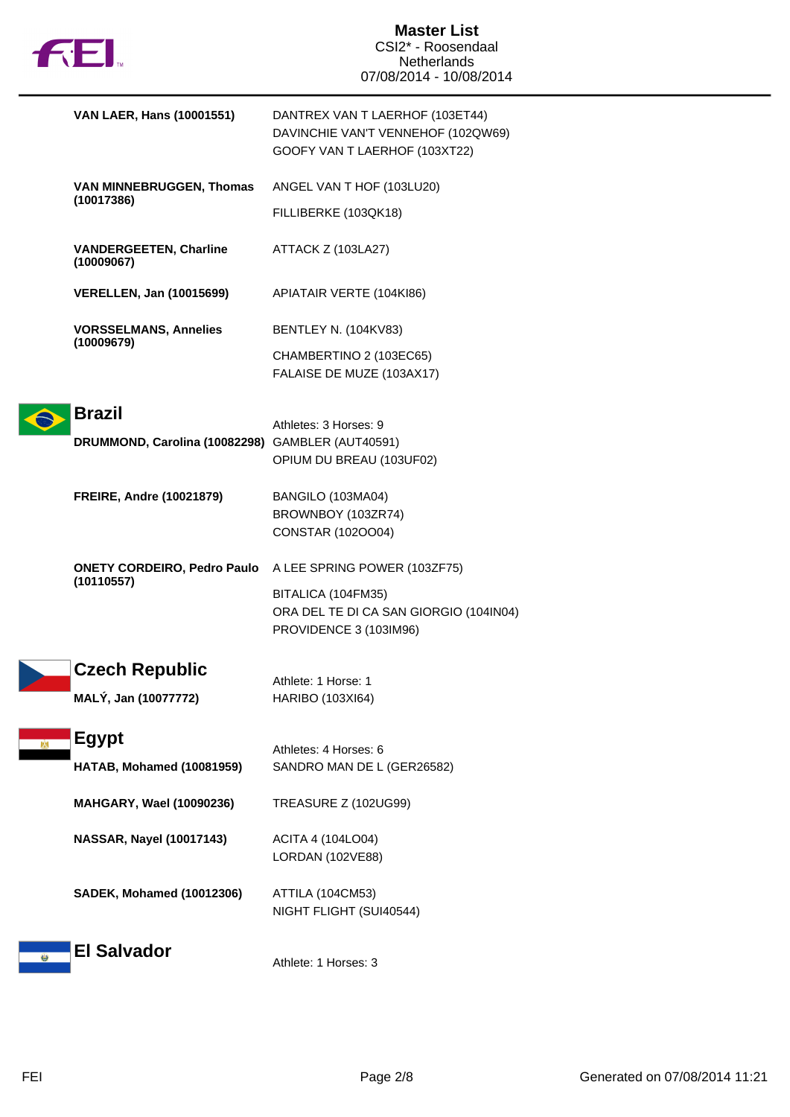

|    | VAN LAER, Hans (10001551)                        | DANTREX VAN T LAERHOF (103ET44)<br>DAVINCHIE VAN'T VENNEHOF (102QW69)<br>GOOFY VAN T LAERHOF (103XT22) |
|----|--------------------------------------------------|--------------------------------------------------------------------------------------------------------|
|    | <b>VAN MINNEBRUGGEN, Thomas</b><br>(10017386)    | ANGEL VAN T HOF (103LU20)                                                                              |
|    |                                                  | FILLIBERKE (103QK18)                                                                                   |
|    | <b>VANDERGEETEN, Charline</b><br>(10009067)      | ATTACK Z (103LA27)                                                                                     |
|    | <b>VERELLEN, Jan (10015699)</b>                  | APIATAIR VERTE (104KI86)                                                                               |
|    | <b>VORSSELMANS, Annelies</b>                     | <b>BENTLEY N. (104KV83)</b>                                                                            |
|    | (10009679)                                       | CHAMBERTINO 2 (103EC65)<br>FALAISE DE MUZE (103AX17)                                                   |
|    | <b>Brazil</b>                                    |                                                                                                        |
|    | DRUMMOND, Carolina (10082298) GAMBLER (AUT40591) | Athletes: 3 Horses: 9<br>OPIUM DU BREAU (103UF02)                                                      |
|    | <b>FREIRE, Andre (10021879)</b>                  | BANGILO (103MA04)<br>BROWNBOY (103ZR74)<br>CONSTAR (1020004)                                           |
|    | <b>ONETY CORDEIRO, Pedro Paulo</b>               | A LEE SPRING POWER (103ZF75)                                                                           |
|    | (10110557)                                       | BITALICA (104FM35)<br>ORA DEL TE DI CA SAN GIORGIO (104IN04)<br>PROVIDENCE 3 (103IM96)                 |
|    | <b>Czech Republic</b><br>MALÝ, Jan (10077772)    | Athlete: 1 Horse: 1<br>HARIBO (103XI64)                                                                |
| DМ | <b>Egypt</b><br>HATAB, Mohamed (10081959)        | Athletes: 4 Horses: 6<br>SANDRO MAN DE L (GER26582)                                                    |
|    | MAHGARY, Wael (10090236)                         | <b>TREASURE Z (102UG99)</b>                                                                            |
|    | NASSAR, Nayel (10017143)                         | ACITA 4 (104LO04)<br>LORDAN (102VE88)                                                                  |
|    | <b>SADEK, Mohamed (10012306)</b>                 | ATTILA (104CM53)<br>NIGHT FLIGHT (SUI40544)                                                            |
|    | <b>El Salvador</b>                               | Athlete: 1 Horses: 3                                                                                   |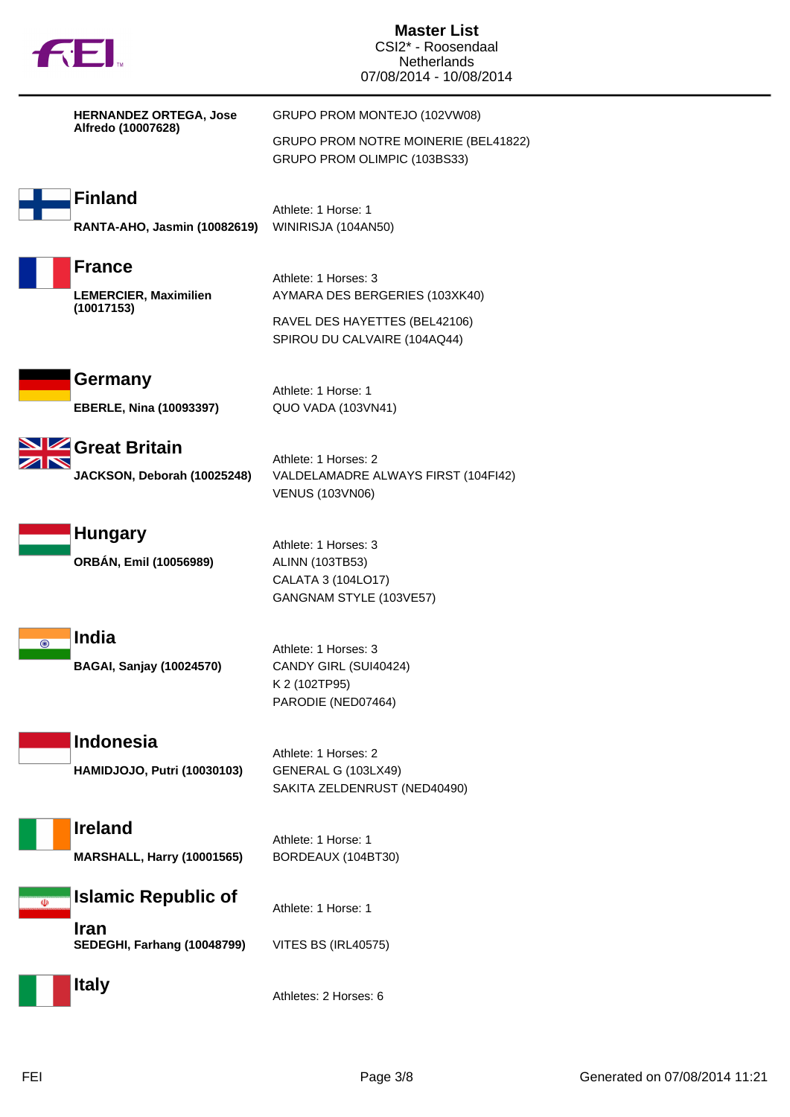| <b>TOEL</b>                                         | <b>Master List</b><br>CSI2* - Roosendaal<br><b>Netherlands</b><br>07/08/2014 - 10/08/2014 |
|-----------------------------------------------------|-------------------------------------------------------------------------------------------|
| <b>HERNANDEZ ORTEGA, Jose</b><br>Alfredo (10007628) | GRUPO PROM MONTEJO (102VW08)                                                              |
|                                                     | GRUPO PROM NOTRE MOINERIE (BEL41822)<br>GRUPO PROM OLIMPIC (103BS33)                      |
| <b>Finland</b>                                      | Athlete: 1 Horse: 1                                                                       |
| RANTA-AHO, Jasmin (10082619)                        | WINIRISJA (104AN50)                                                                       |
| <b>France</b>                                       | Athlete: 1 Horses: 3                                                                      |
| <b>LEMERCIER, Maximilien</b><br>(10017153)          | AYMARA DES BERGERIES (103XK40)                                                            |
|                                                     | RAVEL DES HAYETTES (BEL42106)<br>SPIROU DU CALVAIRE (104AQ44)                             |
| Germany                                             | Athlete: 1 Horse: 1                                                                       |
| <b>EBERLE, Nina (10093397)</b>                      | QUO VADA (103VN41)                                                                        |
| Great Britain                                       | Athlete: 1 Horses: 2                                                                      |
| JACKSON, Deborah (10025248)                         | VALDELAMADRE ALWAYS FIRST (104FI42)<br><b>VENUS (103VN06)</b>                             |
| <b>Hungary</b>                                      |                                                                                           |
| ORBÁN, Emil (10056989)                              | Athlete: 1 Horses: 3<br>ALINN (103TB53)                                                   |
|                                                     | CALATA 3 (104LO17)<br>GANGNAM STYLE (103VE57)                                             |
| <b>India</b><br>$\odot$                             | Athlete: 1 Horses: 3                                                                      |
| <b>BAGAI, Sanjay (10024570)</b>                     | CANDY GIRL (SUI40424)                                                                     |
|                                                     | K 2 (102TP95)<br>PARODIE (NED07464)                                                       |
| <b>Indonesia</b>                                    | Athlete: 1 Horses: 2                                                                      |
| <b>HAMIDJOJO, Putri (10030103)</b>                  | GENERAL G (103LX49)                                                                       |
|                                                     | SAKITA ZELDENRUST (NED40490)                                                              |
| <b>Ireland</b>                                      | Athlete: 1 Horse: 1                                                                       |
| <b>MARSHALL, Harry (10001565)</b>                   | BORDEAUX (104BT30)                                                                        |
| <b>Islamic Republic of</b><br>$\Phi$                | Athlete: 1 Horse: 1                                                                       |
| <b>Iran</b><br>SEDEGHI, Farhang (10048799)          | <b>VITES BS (IRL40575)</b>                                                                |
| <b>Italy</b>                                        | Athletes: 2 Horses: 6                                                                     |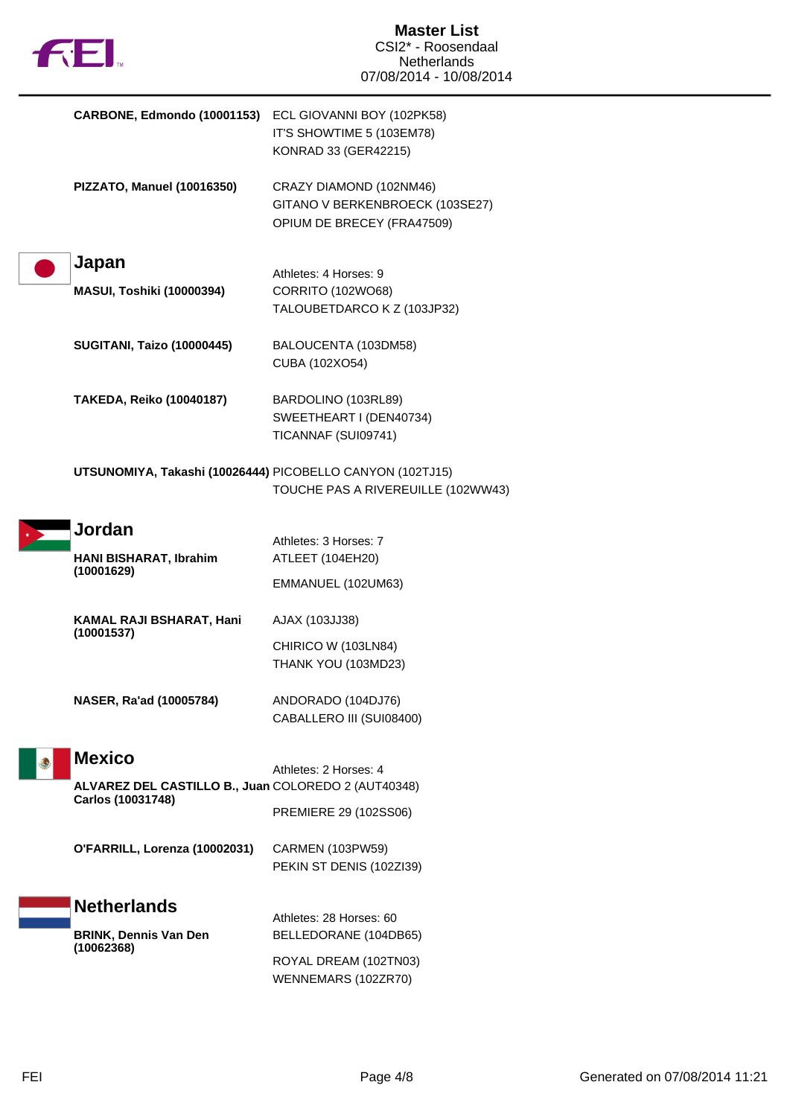

| CARBONE, Edmondo (10001153) ECL GIOVANNI BOY (102PK58)    | IT'S SHOWTIME 5 (103EM78)<br>KONRAD 33 (GER42215)                                        |
|-----------------------------------------------------------|------------------------------------------------------------------------------------------|
| PIZZATO, Manuel (10016350)                                | CRAZY DIAMOND (102NM46)<br>GITANO V BERKENBROECK (103SE27)<br>OPIUM DE BRECEY (FRA47509) |
| Japan                                                     | Athletes: 4 Horses: 9                                                                    |
| <b>MASUI, Toshiki (10000394)</b>                          | CORRITO (102WO68)<br>TALOUBETDARCO K Z (103JP32)                                         |
| <b>SUGITANI, Taizo (10000445)</b>                         | BALOUCENTA (103DM58)<br>CUBA (102XO54)                                                   |
| <b>TAKEDA, Reiko (10040187)</b>                           | BARDOLINO (103RL89)<br>SWEETHEART I (DEN40734)<br>TICANNAF (SUI09741)                    |
| UTSUNOMIYA, Takashi (10026444) PICOBELLO CANYON (102TJ15) | TOUCHE PAS A RIVEREUILLE (102WW43)                                                       |
| Jordan                                                    | Athletes: 3 Horses: 7                                                                    |
| HANI BISHARAT, Ibrahim                                    | ATLEET (104EH20)                                                                         |
| (10001629)                                                | EMMANUEL (102UM63)                                                                       |
| KAMAL RAJI BSHARAT, Hani<br>(10001537)                    | AJAX (103JJ38)                                                                           |
|                                                           | CHIRICO W (103LN84)<br>THANK YOU (103MD23)                                               |
| NASER, Ra'ad (10005784)                                   | ANDORADO (104DJ76)<br>CABALLERO III (SUI08400)                                           |
| <b>Mexico</b>                                             |                                                                                          |
| ALVAREZ DEL CASTILLO B., Juan COLOREDO 2 (AUT40348)       | Athletes: 2 Horses: 4                                                                    |
| Carlos (10031748)                                         | PREMIERE 29 (102SS06)                                                                    |
| O'FARRILL, Lorenza (10002031)                             | <b>CARMEN (103PW59)</b><br>PEKIN ST DENIS (102ZI39)                                      |
| <b>Netherlands</b>                                        | Athletes: 28 Horses: 60                                                                  |
| <b>BRINK, Dennis Van Den</b>                              | BELLEDORANE (104DB65)                                                                    |
| (10062368)                                                | ROYAL DREAM (102TN03)<br>WENNEMARS (102ZR70)                                             |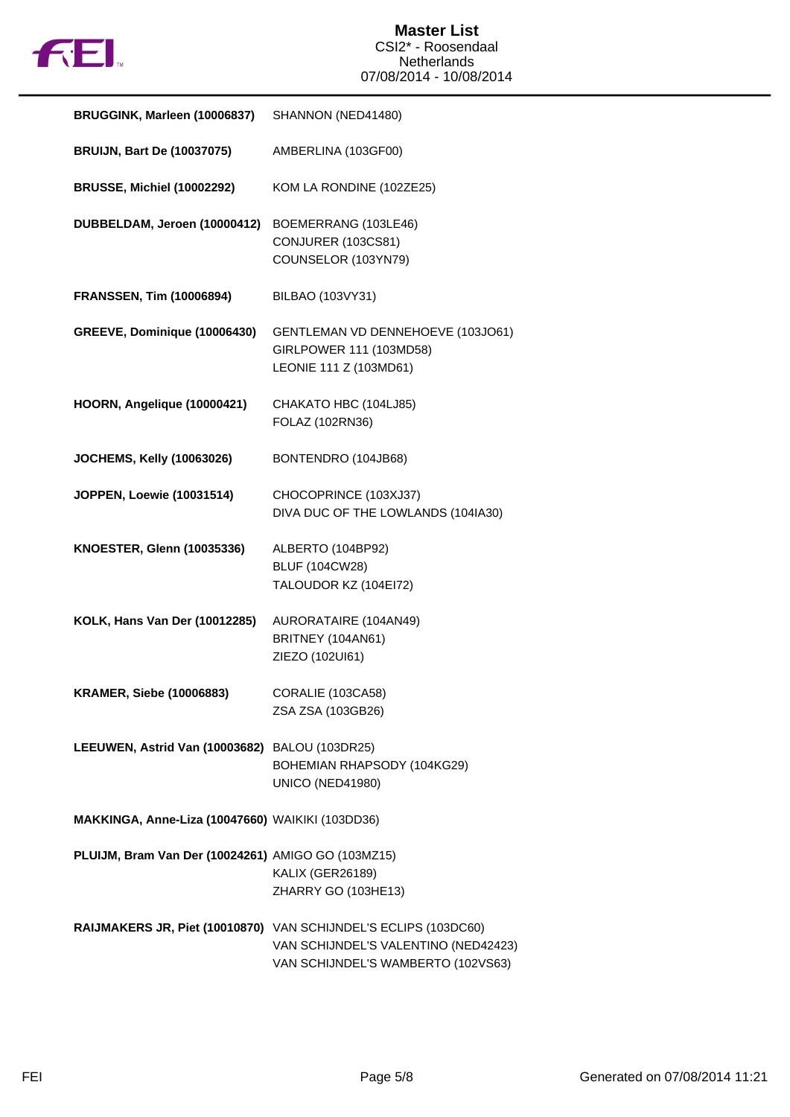

| BRUGGINK, Marleen (10006837)                       | SHANNON (NED41480)                                                                                                                            |
|----------------------------------------------------|-----------------------------------------------------------------------------------------------------------------------------------------------|
| <b>BRUIJN, Bart De (10037075)</b>                  | AMBERLINA (103GF00)                                                                                                                           |
| <b>BRUSSE, Michiel (10002292)</b>                  | KOM LA RONDINE (102ZE25)                                                                                                                      |
| DUBBELDAM, Jeroen (10000412)                       | BOEMERRANG (103LE46)<br>CONJURER (103CS81)<br>COUNSELOR (103YN79)                                                                             |
| <b>FRANSSEN, Tim (10006894)</b>                    | BILBAO (103VY31)                                                                                                                              |
| GREEVE, Dominique (10006430)                       | GENTLEMAN VD DENNEHOEVE (103JO61)<br>GIRLPOWER 111 (103MD58)<br>LEONIE 111 Z (103MD61)                                                        |
| HOORN, Angelique (10000421)                        | CHAKATO HBC (104LJ85)<br>FOLAZ (102RN36)                                                                                                      |
| JOCHEMS, Kelly (10063026)                          | BONTENDRO (104JB68)                                                                                                                           |
| JOPPEN, Loewie (10031514)                          | CHOCOPRINCE (103XJ37)<br>DIVA DUC OF THE LOWLANDS (104IA30)                                                                                   |
| <b>KNOESTER, Glenn (10035336)</b>                  | ALBERTO (104BP92)<br><b>BLUF (104CW28)</b><br>TALOUDOR KZ (104EI72)                                                                           |
| KOLK, Hans Van Der (10012285)                      | AURORATAIRE (104AN49)<br>BRITNEY (104AN61)<br>ZIEZO (102UI61)                                                                                 |
| <b>KRAMER, Siebe (10006883)</b>                    | CORALIE (103CA58)<br>ZSA ZSA (103GB26)                                                                                                        |
| LEEUWEN, Astrid Van (10003682) BALOU (103DR25)     | BOHEMIAN RHAPSODY (104KG29)<br><b>UNICO (NED41980)</b>                                                                                        |
| MAKKINGA, Anne-Liza (10047660) WAIKIKI (103DD36)   |                                                                                                                                               |
| PLUIJM, Bram Van Der (10024261) AMIGO GO (103MZ15) | <b>KALIX (GER26189)</b><br>ZHARRY GO (103HE13)                                                                                                |
|                                                    | RAIJMAKERS JR, Piet (10010870) VAN SCHIJNDEL'S ECLIPS (103DC60)<br>VAN SCHIJNDEL'S VALENTINO (NED42423)<br>VAN SCHIJNDEL'S WAMBERTO (102VS63) |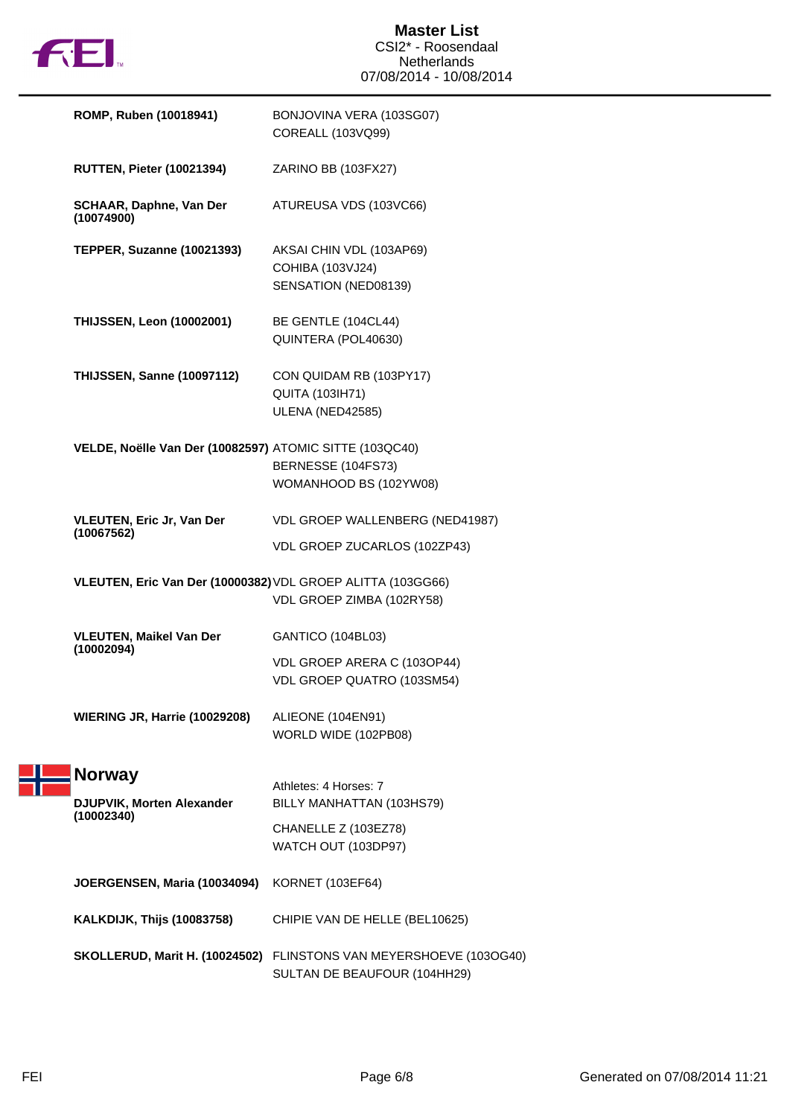

| ROMP, Ruben (10018941)                                      | BONJOVINA VERA (103SG07)<br>COREALL (103VQ99)                                                     |
|-------------------------------------------------------------|---------------------------------------------------------------------------------------------------|
| <b>RUTTEN, Pieter (10021394)</b>                            | ZARINO BB (103FX27)                                                                               |
| <b>SCHAAR, Daphne, Van Der</b><br>(10074900)                | ATUREUSA VDS (103VC66)                                                                            |
| <b>TEPPER, Suzanne (10021393)</b>                           | AKSAI CHIN VDL (103AP69)<br>COHIBA (103VJ24)<br>SENSATION (NED08139)                              |
| <b>THIJSSEN, Leon (10002001)</b>                            | BE GENTLE (104CL44)<br>QUINTERA (POL40630)                                                        |
| <b>THIJSSEN, Sanne (10097112)</b>                           | CON QUIDAM RB (103PY17)<br><b>QUITA (103IH71)</b><br>ULENA (NED42585)                             |
| VELDE, Noëlle Van Der (10082597) ATOMIC SITTE (103QC40)     | BERNESSE (104FS73)<br>WOMANHOOD BS (102YW08)                                                      |
| <b>VLEUTEN, Eric Jr, Van Der</b><br>(10067562)              | VDL GROEP WALLENBERG (NED41987)<br>VDL GROEP ZUCARLOS (102ZP43)                                   |
| VLEUTEN, Eric Van Der (10000382) VDL GROEP ALITTA (103GG66) | VDL GROEP ZIMBA (102RY58)                                                                         |
| <b>VLEUTEN, Maikel Van Der</b><br>(10002094)                | GANTICO (104BL03)<br>VDL GROEP ARERA C (103OP44)<br>VDL GROEP QUATRO (103SM54)                    |
| <b>WIERING JR, Harrie (10029208)</b>                        | ALIEONE (104EN91)<br>WORLD WIDE (102PB08)                                                         |
| <b>Norway</b><br>DJUPVIK, Morten Alexander<br>(10002340)    | Athletes: 4 Horses: 7<br>BILLY MANHATTAN (103HS79)<br>CHANELLE Z (103EZ78)<br>WATCH OUT (103DP97) |
| JOERGENSEN, Maria (10034094)                                | <b>KORNET (103EF64)</b>                                                                           |
| <b>KALKDIJK, Thijs (10083758)</b>                           | CHIPIE VAN DE HELLE (BEL10625)                                                                    |
| SKOLLERUD, Marit H. (10024502)                              | FLINSTONS VAN MEYERSHOEVE (103OG40)<br>SULTAN DE BEAUFOUR (104HH29)                               |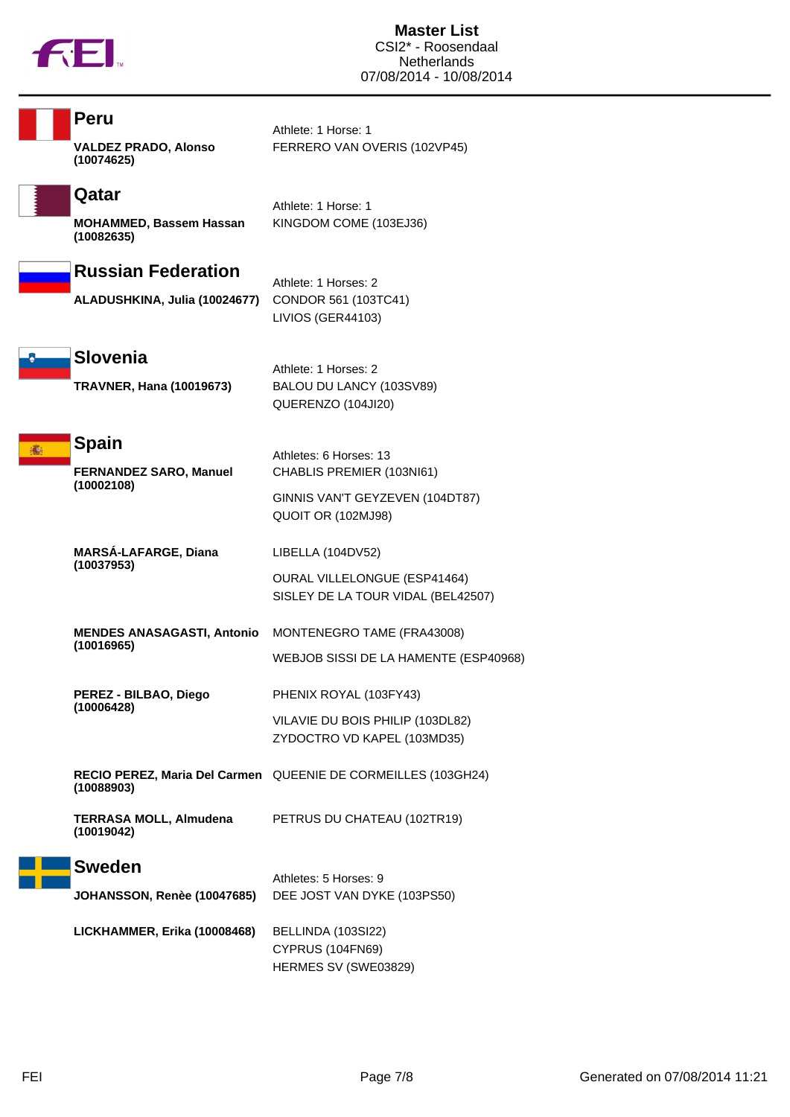

| Peru                                            | Athlete: 1 Horse: 1                                                       |
|-------------------------------------------------|---------------------------------------------------------------------------|
| <b>VALDEZ PRADO, Alonso</b><br>(10074625)       | FERRERO VAN OVERIS (102VP45)                                              |
| Qatar                                           | Athlete: 1 Horse: 1                                                       |
| MOHAMMED, Bassem Hassan<br>(10082635)           | KINGDOM COME (103EJ36)                                                    |
| <b>Russian Federation</b>                       | Athlete: 1 Horses: 2                                                      |
| ALADUSHKINA, Julia (10024677)                   | CONDOR 561 (103TC41)<br>LIVIOS (GER44103)                                 |
| <b>Slovenia</b>                                 | Athlete: 1 Horses: 2                                                      |
| <b>TRAVNER, Hana (10019673)</b>                 | BALOU DU LANCY (103SV89)<br>QUERENZO (104JI20)                            |
| <b>Spain</b>                                    |                                                                           |
| <b>FERNANDEZ SARO, Manuel</b>                   | Athletes: 6 Horses: 13<br>CHABLIS PREMIER (103NI61)                       |
| (10002108)                                      | GINNIS VAN'T GEYZEVEN (104DT87)<br>QUOIT OR (102MJ98)                     |
| MARSÁ-LAFARGE, Diana<br>(10037953)              | LIBELLA (104DV52)                                                         |
|                                                 | <b>OURAL VILLELONGUE (ESP41464)</b><br>SISLEY DE LA TOUR VIDAL (BEL42507) |
| <b>MENDES ANASAGASTI, Antonio</b><br>(10016965) | MONTENEGRO TAME (FRA43008)                                                |
|                                                 | WEBJOB SISSI DE LA HAMENTE (ESP40968)                                     |
| PEREZ - BILBAO, Diego<br>(10006428)             | PHENIX ROYAL (103FY43)                                                    |
|                                                 | VILAVIE DU BOIS PHILIP (103DL82)<br>ZYDOCTRO VD KAPEL (103MD35)           |
| (10088903)                                      | RECIO PEREZ, Maria Del Carmen QUEENIE DE CORMEILLES (103GH24)             |
| <b>TERRASA MOLL, Almudena</b><br>(10019042)     | PETRUS DU CHATEAU (102TR19)                                               |
| <b>Sweden</b>                                   | Athletes: 5 Horses: 9                                                     |
| <b>JOHANSSON, Renèe (10047685)</b>              | DEE JOST VAN DYKE (103PS50)                                               |
| LICKHAMMER, Erika (10008468)                    | BELLINDA (103SI22)<br>CYPRUS (104FN69)<br>HERMES SV (SWE03829)            |